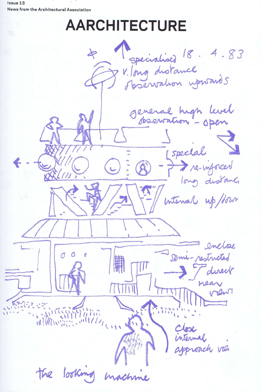Issue 15 News from the Architectural Association

## **AARCHITECTURE**

specialised 18. 4.83 \$ rervalion upwards general high level [ Special > re-inforced Instant internal up /down metore  $\overline{O}$ 6 Ó ramsrestructed reck neo  $0403$ Whomas Mell roach vier the looking